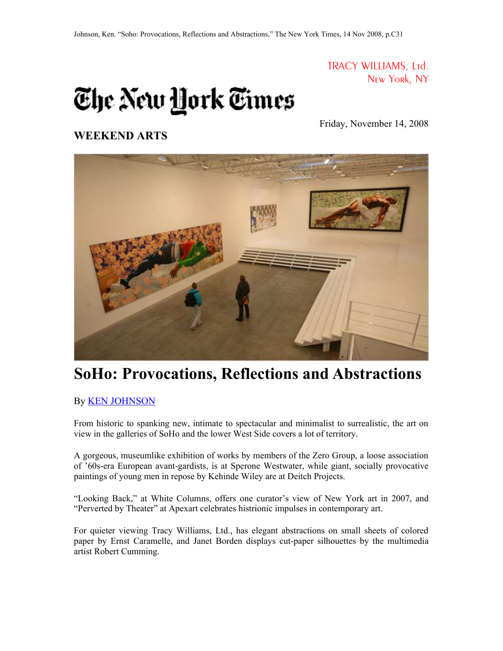TRACY WILLIAMS, Ltd. New York, NY

## The New <u>H</u>ork Times

Friday, November 14, 2008

## **WEEKEND ARTS**



## **SoHo: Provocations, Reflections and Abstractions**

## By [KEN JOHNSON](http://query.nytimes.com/search/query?ppds=bylL&v1=KEN JOHNSON&fdq=19960101&td=sysdate&sort=newest&ac=KEN JOHNSON&inline=nyt-per)

From historic to spanking new, intimate to spectacular and minimalist to surrealistic, the art on view in the galleries of SoHo and the lower West Side covers a lot of territory.

A gorgeous, museumlike exhibition of works by members of the Zero Group, a loose association of '60s-era European avant-gardists, is at Sperone Westwater, while giant, socially provocative paintings of young men in repose by Kehinde Wiley are at Deitch Projects.

"Looking Back," at White Columns, offers one curator's view of New York art in 2007, and "Perverted by Theater" at Apexart celebrates histrionic impulses in contemporary art.

For quieter viewing Tracy Williams, Ltd., has elegant abstractions on small sheets of colored paper by Ernst Caramelle, and Janet Borden displays cut-paper silhouettes by the multimedia artist Robert Cumming.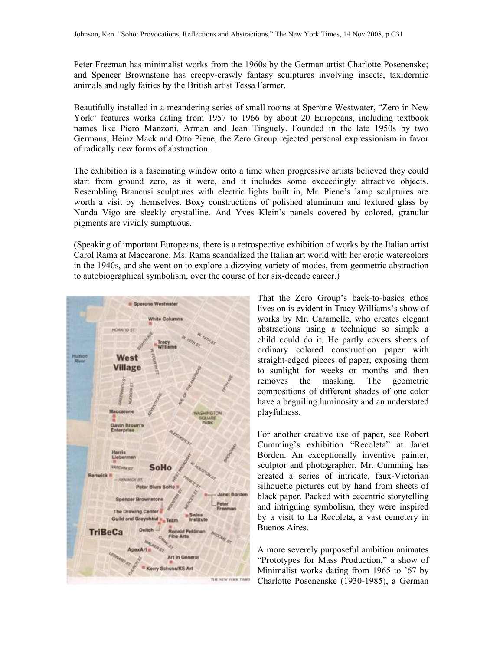Peter Freeman has minimalist works from the 1960s by the German artist Charlotte Posenenske; and Spencer Brownstone has creepy-crawly fantasy sculptures involving insects, taxidermic animals and ugly fairies by the British artist Tessa Farmer.

Beautifully installed in a meandering series of small rooms at Sperone Westwater, "Zero in New York" features works dating from 1957 to 1966 by about 20 Europeans, including textbook names like Piero Manzoni, Arman and Jean Tinguely. Founded in the late 1950s by two Germans, Heinz Mack and Otto Piene, the Zero Group rejected personal expressionism in favor of radically new forms of abstraction.

The exhibition is a fascinating window onto a time when progressive artists believed they could start from ground zero, as it were, and it includes some exceedingly attractive objects. Resembling Brancusi sculptures with electric lights built in, Mr. Piene's lamp sculptures are worth a visit by themselves. Boxy constructions of polished aluminum and textured glass by Nanda Vigo are sleekly crystalline. And Yves Klein's panels covered by colored, granular pigments are vividly sumptuous.

(Speaking of important Europeans, there is a retrospective exhibition of works by the Italian artist Carol Rama at Maccarone. Ms. Rama scandalized the Italian art world with her erotic watercolors in the 1940s, and she went on to explore a dizzying variety of modes, from geometric abstraction to autobiographical symbolism, over the course of her six-decade career.)



That the Zero Group's back-to-basics ethos lives on is evident in Tracy Williams's show of works by Mr. Caramelle, who creates elegant abstractions using a technique so simple a child could do it. He partly covers sheets of ordinary colored construction paper with straight-edged pieces of paper, exposing them to sunlight for weeks or months and then removes the masking. The geometric compositions of different shades of one color have a beguiling luminosity and an understated playfulness.

For another creative use of paper, see Robert Cumming's exhibition "Recoleta" at Janet Borden. An exceptionally inventive painter, sculptor and photographer, Mr. Cumming has created a series of intricate, faux-Victorian silhouette pictures cut by hand from sheets of black paper. Packed with eccentric storytelling and intriguing symbolism, they were inspired by a visit to La Recoleta, a vast cemetery in Buenos Aires.

A more severely purposeful ambition animates "Prototypes for Mass Production," a show of Minimalist works dating from 1965 to '67 by Charlotte Posenenske (1930-1985), a German